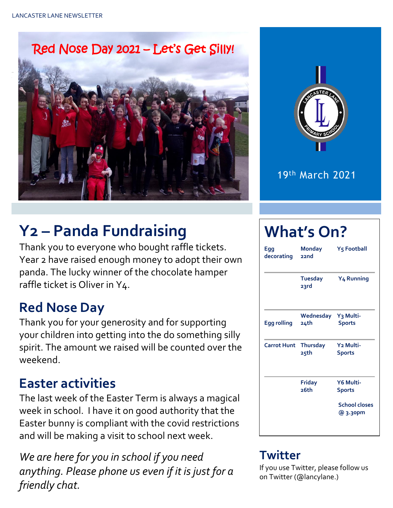Red Nose Day 2021 – Let's Get Silly!





19th March 2021

# **Y2 – Panda Fundraising**

Thank you to everyone who bought raffle tickets. Year 2 have raised enough money to adopt their own panda. The lucky winner of the chocolate hamper raffle ticket is Oliver in Y4.

#### **Red Nose Day**

Thank you for your generosity and for supporting your children into getting into the do something silly spirit. The amount we raised will be counted over the weekend.

#### **Easter activities**

The last week of the Easter Term is always a magical week in school. I have it on good authority that the Easter bunny is compliant with the covid restrictions and will be making a visit to school next week.

*We are here for you in school if you need anything. Please phone us even if it is just for a friendly chat.* 

## **What's On?**

| Egg<br>decorating  | <b>Monday</b><br>22nd   | Y5 Football                            |  |
|--------------------|-------------------------|----------------------------------------|--|
|                    | <b>Tuesday</b><br>23rd  | Y <sub>4</sub> Running                 |  |
| <b>Egg rolling</b> | Wednesday<br>24th       | Y <sub>3</sub> Multi-<br><b>Sports</b> |  |
| <b>Carrot Hunt</b> | <b>Thursday</b><br>25th | Y <sub>2</sub> Multi-<br>Sports        |  |
|                    | Friday<br>26th          | Y6 Multi-<br><b>Sports</b>             |  |
|                    |                         | <b>School closes</b><br>@ 3.30pm       |  |

#### **Twitter**

If you use Twitter, please follow us on Twitter (@lancylane.)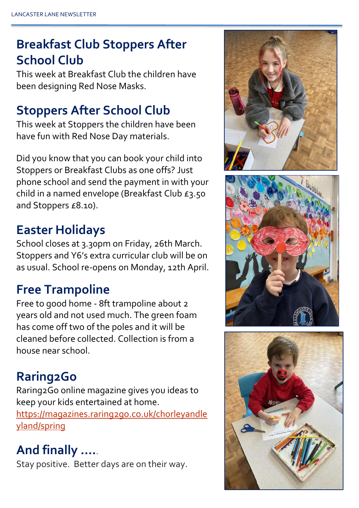## **Breakfast Club Stoppers After School Club**

This week at Breakfast Club the children have been designing Red Nose Masks.

#### **Stoppers After School Club**

This week at Stoppers the children have been have fun with Red Nose Day materials.

Did you know that you can book your child into Stoppers or Breakfast Clubs as one offs? Just phone school and send the payment in with your child in a named envelope (Breakfast Club £3.50 and Stoppers £8.10).

#### **Easter Holidays**

School closes at 3.30pm on Friday, 26th March. Stoppers and Y6's extra curricular club will be on as usual. School re-opens on Monday, 12th April.

### **Free Trampoline**

Free to good home - 8ft trampoline about 2 years old and not used much. The green foam has come off two of the poles and it will be cleaned before collected. Collection is from a house near school.

### **Raring2Go**

Raring2Go online magazine gives you ideas to keep your kids entertained at home. [https://magazines.raring2go.co.uk/chorleyandle](https://magazines.raring2go.co.uk/chorleyandleyland/spring) [yland/spring](https://magazines.raring2go.co.uk/chorleyandleyland/spring)

### **And finally ….**.

Stay positive. Better days are on their way.